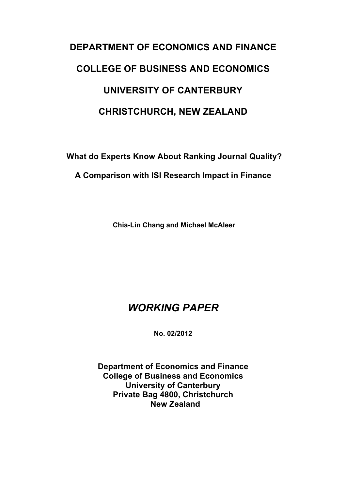# **DEPARTMENT OF ECONOMICS AND FINANCE COLLEGE OF BUSINESS AND ECONOMICS UNIVERSITY OF CANTERBURY CHRISTCHURCH, NEW ZEALAND**

**What do Experts Know About Ranking Journal Quality?** 

## **A Comparison with ISI Research Impact in Finance**

**Chia-Lin Chang and Michael McAleer**

# *WORKING PAPER*

**No. 02/2012**

**Department of Economics and Finance College of Business and Economics University of Canterbury Private Bag 4800, Christchurch New Zealand**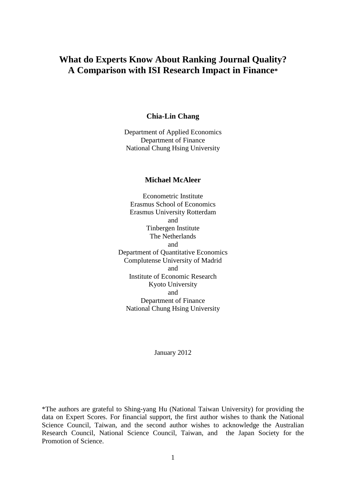# **What do Experts Know About Ranking Journal Quality? A Comparison with ISI Research Impact in Finance\***

#### **Chia-Lin Chang**

Department of Applied Economics Department of Finance National Chung Hsing University

#### **Michael McAleer**

Econometric Institute Erasmus School of Economics Erasmus University Rotterdam and Tinbergen Institute The Netherlands and Department of Quantitative Economics Complutense University of Madrid and Institute of Economic Research Kyoto University and Department of Finance National Chung Hsing University

January 2012

\*The authors are grateful to Shing-yang Hu (National Taiwan University) for providing the data on Expert Scores. For financial support, the first author wishes to thank the National Science Council, Taiwan, and the second author wishes to acknowledge the Australian Research Council, National Science Council, Taiwan, and the Japan Society for the Promotion of Science.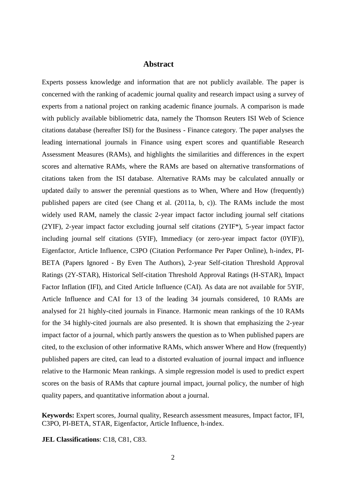#### **Abstract**

Experts possess knowledge and information that are not publicly available. The paper is concerned with the ranking of academic journal quality and research impact using a survey of experts from a national project on ranking academic finance journals. A comparison is made with publicly available bibliometric data, namely the Thomson Reuters ISI Web of Science citations database (hereafter ISI) for the Business - Finance category. The paper analyses the leading international journals in Finance using expert scores and quantifiable Research Assessment Measures (RAMs), and highlights the similarities and differences in the expert scores and alternative RAMs, where the RAMs are based on alternative transformations of citations taken from the ISI database. Alternative RAMs may be calculated annually or updated daily to answer the perennial questions as to When, Where and How (frequently) published papers are cited (see Chang et al. (2011a, b, c)). The RAMs include the most widely used RAM, namely the classic 2-year impact factor including journal self citations (2YIF), 2-year impact factor excluding journal self citations (2YIF\*), 5-year impact factor including journal self citations (5YIF), Immediacy (or zero-year impact factor (0YIF)), Eigenfactor, Article Influence, C3PO (Citation Performance Per Paper Online), h-index, PI-BETA (Papers Ignored - By Even The Authors), 2-year Self-citation Threshold Approval Ratings (2Y-STAR), Historical Self-citation Threshold Approval Ratings (H-STAR), Impact Factor Inflation (IFI), and Cited Article Influence (CAI). As data are not available for 5YIF, Article Influence and CAI for 13 of the leading 34 journals considered, 10 RAMs are analysed for 21 highly-cited journals in Finance. Harmonic mean rankings of the 10 RAMs for the 34 highly-cited journals are also presented. It is shown that emphasizing the 2-year impact factor of a journal, which partly answers the question as to When published papers are cited, to the exclusion of other informative RAMs, which answer Where and How (frequently) published papers are cited, can lead to a distorted evaluation of journal impact and influence relative to the Harmonic Mean rankings. A simple regression model is used to predict expert scores on the basis of RAMs that capture journal impact, journal policy, the number of high quality papers, and quantitative information about a journal.

**Keywords:** Expert scores, Journal quality, Research assessment measures, Impact factor, IFI, C3PO, PI-BETA, STAR, Eigenfactor, Article Influence, h-index.

**JEL Classifications**: C18, C81, C83.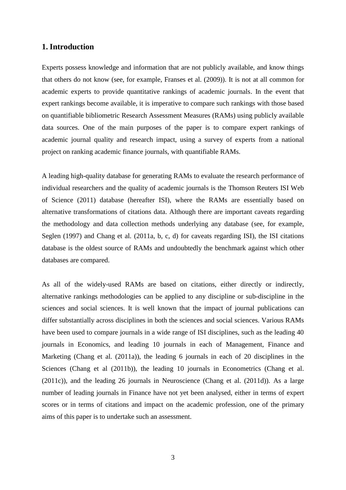#### **1. Introduction**

Experts possess knowledge and information that are not publicly available, and know things that others do not know (see, for example, Franses et al. (2009)). It is not at all common for academic experts to provide quantitative rankings of academic journals. In the event that expert rankings become available, it is imperative to compare such rankings with those based on quantifiable bibliometric Research Assessment Measures (RAMs) using publicly available data sources. One of the main purposes of the paper is to compare expert rankings of academic journal quality and research impact, using a survey of experts from a national project on ranking academic finance journals, with quantifiable RAMs.

A leading high-quality database for generating RAMs to evaluate the research performance of individual researchers and the quality of academic journals is the Thomson Reuters ISI Web of Science (2011) database (hereafter ISI), where the RAMs are essentially based on alternative transformations of citations data. Although there are important caveats regarding the methodology and data collection methods underlying any database (see, for example, Seglen (1997) and Chang et al. (2011a, b, c, d) for caveats regarding ISI), the ISI citations database is the oldest source of RAMs and undoubtedly the benchmark against which other databases are compared.

As all of the widely-used RAMs are based on citations, either directly or indirectly, alternative rankings methodologies can be applied to any discipline or sub-discipline in the sciences and social sciences. It is well known that the impact of journal publications can differ substantially across disciplines in both the sciences and social sciences. Various RAMs have been used to compare journals in a wide range of ISI disciplines, such as the leading 40 journals in Economics, and leading 10 journals in each of Management, Finance and Marketing (Chang et al. (2011a)), the leading 6 journals in each of 20 disciplines in the Sciences (Chang et al (2011b)), the leading 10 journals in Econometrics (Chang et al. (2011c)), and the leading 26 journals in Neuroscience (Chang et al. (2011d)). As a large number of leading journals in Finance have not yet been analysed, either in terms of expert scores or in terms of citations and impact on the academic profession, one of the primary aims of this paper is to undertake such an assessment.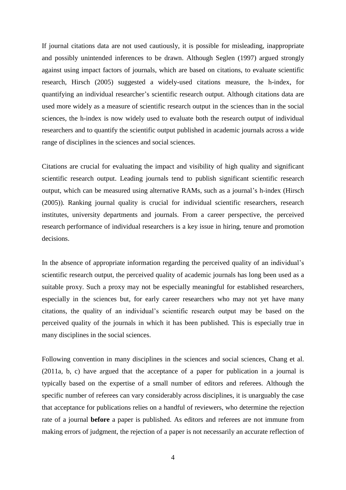If journal citations data are not used cautiously, it is possible for misleading, inappropriate and possibly unintended inferences to be drawn. Although Seglen (1997) argued strongly against using impact factors of journals, which are based on citations, to evaluate scientific research, Hirsch (2005) suggested a widely-used citations measure, the h-index, for quantifying an individual researcher's scientific research output. Although citations data are used more widely as a measure of scientific research output in the sciences than in the social sciences, the h-index is now widely used to evaluate both the research output of individual researchers and to quantify the scientific output published in academic journals across a wide range of disciplines in the sciences and social sciences.

Citations are crucial for evaluating the impact and visibility of high quality and significant scientific research output. Leading journals tend to publish significant scientific research output, which can be measured using alternative RAMs, such as a journal's h-index (Hirsch (2005)). Ranking journal quality is crucial for individual scientific researchers, research institutes, university departments and journals. From a career perspective, the perceived research performance of individual researchers is a key issue in hiring, tenure and promotion decisions.

In the absence of appropriate information regarding the perceived quality of an individual's scientific research output, the perceived quality of academic journals has long been used as a suitable proxy. Such a proxy may not be especially meaningful for established researchers, especially in the sciences but, for early career researchers who may not yet have many citations, the quality of an individual's scientific research output may be based on the perceived quality of the journals in which it has been published. This is especially true in many disciplines in the social sciences.

Following convention in many disciplines in the sciences and social sciences, Chang et al. (2011a, b, c) have argued that the acceptance of a paper for publication in a journal is typically based on the expertise of a small number of editors and referees. Although the specific number of referees can vary considerably across disciplines, it is unarguably the case that acceptance for publications relies on a handful of reviewers, who determine the rejection rate of a journal **before** a paper is published. As editors and referees are not immune from making errors of judgment, the rejection of a paper is not necessarily an accurate reflection of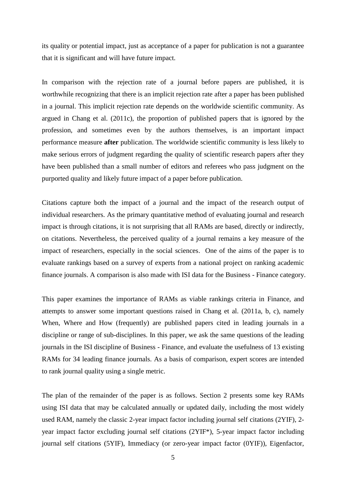its quality or potential impact, just as acceptance of a paper for publication is not a guarantee that it is significant and will have future impact.

In comparison with the rejection rate of a journal before papers are published, it is worthwhile recognizing that there is an implicit rejection rate after a paper has been published in a journal. This implicit rejection rate depends on the worldwide scientific community. As argued in Chang et al. (2011c), the proportion of published papers that is ignored by the profession, and sometimes even by the authors themselves, is an important impact performance measure **after** publication. The worldwide scientific community is less likely to make serious errors of judgment regarding the quality of scientific research papers after they have been published than a small number of editors and referees who pass judgment on the purported quality and likely future impact of a paper before publication.

Citations capture both the impact of a journal and the impact of the research output of individual researchers. As the primary quantitative method of evaluating journal and research impact is through citations, it is not surprising that all RAMs are based, directly or indirectly, on citations. Nevertheless, the perceived quality of a journal remains a key measure of the impact of researchers, especially in the social sciences. One of the aims of the paper is to evaluate rankings based on a survey of experts from a national project on ranking academic finance journals. A comparison is also made with ISI data for the Business - Finance category.

This paper examines the importance of RAMs as viable rankings criteria in Finance, and attempts to answer some important questions raised in Chang et al. (2011a, b, c), namely When, Where and How (frequently) are published papers cited in leading journals in a discipline or range of sub-disciplines. In this paper, we ask the same questions of the leading journals in the ISI discipline of Business - Finance, and evaluate the usefulness of 13 existing RAMs for 34 leading finance journals. As a basis of comparison, expert scores are intended to rank journal quality using a single metric.

The plan of the remainder of the paper is as follows. Section 2 presents some key RAMs using ISI data that may be calculated annually or updated daily, including the most widely used RAM, namely the classic 2-year impact factor including journal self citations (2YIF), 2 year impact factor excluding journal self citations (2YIF\*), 5-year impact factor including journal self citations (5YIF), Immediacy (or zero-year impact factor (0YIF)), Eigenfactor,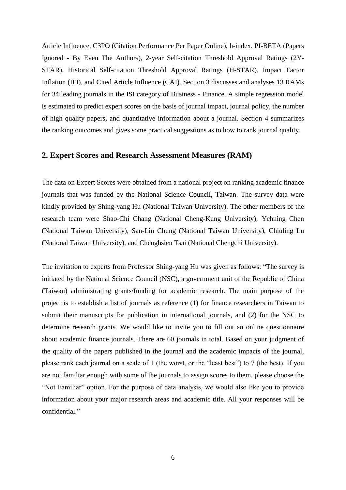Article Influence, C3PO (Citation Performance Per Paper Online), h-index, PI-BETA (Papers Ignored - By Even The Authors), 2-year Self-citation Threshold Approval Ratings (2Y-STAR), Historical Self-citation Threshold Approval Ratings (H-STAR), Impact Factor Inflation (IFI), and Cited Article Influence (CAI). Section 3 discusses and analyses 13 RAMs for 34 leading journals in the ISI category of Business - Finance. A simple regression model is estimated to predict expert scores on the basis of journal impact, journal policy, the number of high quality papers, and quantitative information about a journal. Section 4 summarizes the ranking outcomes and gives some practical suggestions as to how to rank journal quality.

#### **2. Expert Scores and Research Assessment Measures (RAM)**

The data on Expert Scores were obtained from a national project on ranking academic finance journals that was funded by the National Science Council, Taiwan. The survey data were kindly provided by Shing-yang Hu (National Taiwan University). The other members of the research team were Shao-Chi Chang (National Cheng-Kung University), Yehning Chen (National Taiwan University), San-Lin Chung (National Taiwan University), Chiuling Lu (National Taiwan University), and Chenghsien Tsai (National Chengchi University).

The invitation to experts from Professor Shing-yang Hu was given as follows: "The survey is initiated by the National Science Council (NSC), a government unit of the Republic of China (Taiwan) administrating grants/funding for academic research. The main purpose of the project is to establish a list of journals as reference (1) for finance researchers in Taiwan to submit their manuscripts for publication in international journals, and (2) for the NSC to determine research grants. We would like to invite you to fill out an online questionnaire about academic finance journals. There are 60 journals in total. Based on your judgment of the quality of the papers published in the journal and the academic impacts of the journal, please rank each journal on a scale of 1 (the worst, or the "least best") to 7 (the best). If you are not familiar enough with some of the journals to assign scores to them, please choose the "Not Familiar" option. For the purpose of data analysis, we would also like you to provide information about your major research areas and academic title. All your responses will be confidential."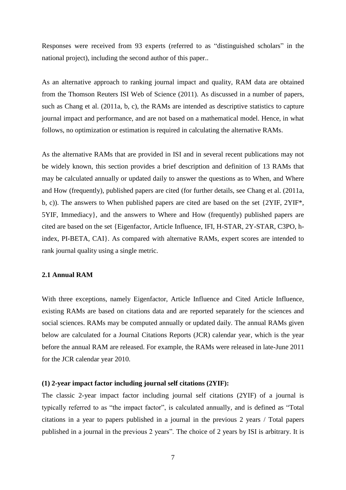Responses were received from 93 experts (referred to as "distinguished scholars" in the national project), including the second author of this paper..

As an alternative approach to ranking journal impact and quality, RAM data are obtained from the Thomson Reuters ISI Web of Science (2011). As discussed in a number of papers, such as Chang et al. (2011a, b, c), the RAMs are intended as descriptive statistics to capture journal impact and performance, and are not based on a mathematical model. Hence, in what follows, no optimization or estimation is required in calculating the alternative RAMs.

As the alternative RAMs that are provided in ISI and in several recent publications may not be widely known, this section provides a brief description and definition of 13 RAMs that may be calculated annually or updated daily to answer the questions as to When, and Where and How (frequently), published papers are cited (for further details, see Chang et al. (2011a, b, c)). The answers to When published papers are cited are based on the set {2YIF, 2YIF\*, 5YIF, Immediacy}, and the answers to Where and How (frequently) published papers are cited are based on the set {Eigenfactor, Article Influence, IFI, H-STAR, 2Y-STAR, C3PO, hindex, PI-BETA, CAI}. As compared with alternative RAMs, expert scores are intended to rank journal quality using a single metric.

#### **2.1 Annual RAM**

With three exceptions, namely Eigenfactor, Article Influence and Cited Article Influence, existing RAMs are based on citations data and are reported separately for the sciences and social sciences. RAMs may be computed annually or updated daily. The annual RAMs given below are calculated for a Journal Citations Reports (JCR) calendar year, which is the year before the annual RAM are released. For example, the RAMs were released in late-June 2011 for the JCR calendar year 2010.

#### **(1) 2-year impact factor including journal self citations (2YIF):**

The classic 2-year impact factor including journal self citations (2YIF) of a journal is typically referred to as "the impact factor", is calculated annually, and is defined as "Total citations in a year to papers published in a journal in the previous 2 years / Total papers published in a journal in the previous 2 years". The choice of 2 years by ISI is arbitrary. It is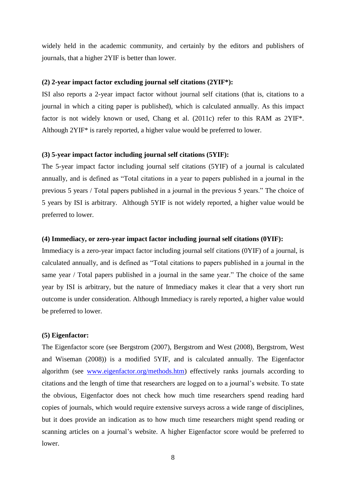widely held in the academic community, and certainly by the editors and publishers of journals, that a higher 2YIF is better than lower.

#### **(2) 2-year impact factor excluding journal self citations (2YIF\*):**

ISI also reports a 2-year impact factor without journal self citations (that is, citations to a journal in which a citing paper is published), which is calculated annually. As this impact factor is not widely known or used, Chang et al. (2011c) refer to this RAM as 2YIF\*. Although 2YIF\* is rarely reported, a higher value would be preferred to lower.

#### **(3) 5-year impact factor including journal self citations (5YIF):**

The 5-year impact factor including journal self citations (5YIF) of a journal is calculated annually, and is defined as "Total citations in a year to papers published in a journal in the previous 5 years / Total papers published in a journal in the previous 5 years." The choice of 5 years by ISI is arbitrary. Although 5YIF is not widely reported, a higher value would be preferred to lower.

#### **(4) Immediacy, or zero-year impact factor including journal self citations (0YIF):**

Immediacy is a zero-year impact factor including journal self citations (0YIF) of a journal, is calculated annually, and is defined as "Total citations to papers published in a journal in the same year / Total papers published in a journal in the same year." The choice of the same year by ISI is arbitrary, but the nature of Immediacy makes it clear that a very short run outcome is under consideration. Although Immediacy is rarely reported, a higher value would be preferred to lower.

#### **(5) Eigenfactor:**

The Eigenfactor score (see Bergstrom (2007), Bergstrom and West (2008), Bergstrom, West and Wiseman (2008)) is a modified 5YIF, and is calculated annually. The Eigenfactor algorithm (see [www.eigenfactor.org/methods.htm\)](http://www.eigenfactor.org/methods.htm) effectively ranks journals according to citations and the length of time that researchers are logged on to a journal's website. To state the obvious, Eigenfactor does not check how much time researchers spend reading hard copies of journals, which would require extensive surveys across a wide range of disciplines, but it does provide an indication as to how much time researchers might spend reading or scanning articles on a journal's website. A higher Eigenfactor score would be preferred to lower.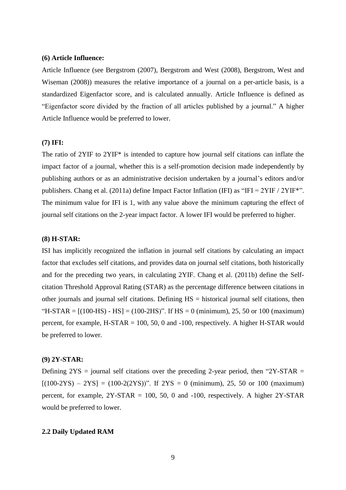#### **(6) Article Influence:**

Article Influence (see Bergstrom (2007), Bergstrom and West (2008), Bergstrom, West and Wiseman (2008)) measures the relative importance of a journal on a per-article basis, is a standardized Eigenfactor score, and is calculated annually. Article Influence is defined as "Eigenfactor score divided by the fraction of all articles published by a journal." A higher Article Influence would be preferred to lower.

#### **(7) IFI:**

The ratio of 2YIF to 2YIF\* is intended to capture how journal self citations can inflate the impact factor of a journal, whether this is a self-promotion decision made independently by publishing authors or as an administrative decision undertaken by a journal's editors and/or publishers. Chang et al. (2011a) define Impact Factor Inflation (IFI) as "IFI = 2YIF / 2YIF\*". The minimum value for IFI is 1, with any value above the minimum capturing the effect of journal self citations on the 2-year impact factor. A lower IFI would be preferred to higher.

#### **(8) H-STAR:**

ISI has implicitly recognized the inflation in journal self citations by calculating an impact factor that excludes self citations, and provides data on journal self citations, both historically and for the preceding two years, in calculating 2YIF. Chang et al. (2011b) define the Selfcitation Threshold Approval Rating (STAR) as the percentage difference between citations in other journals and journal self citations. Defining HS = historical journal self citations, then "H-STAR =  $[(100-HS) - HS] = (100-2HS)$ ". If HS = 0 (minimum), 25, 50 or 100 (maximum) percent, for example, H-STAR = 100, 50, 0 and -100, respectively. A higher H-STAR would be preferred to lower.

#### **(9) 2Y-STAR:**

Defining  $2YS =$  journal self citations over the preceding 2-year period, then "2Y-STAR =  $[(100-2YS) - 2YS] = (100-2(2YS))$ ". If  $2YS = 0$  (minimum), 25, 50 or 100 (maximum) percent, for example,  $2Y-STAR = 100$ , 50, 0 and -100, respectively. A higher  $2Y-STAR$ would be preferred to lower.

#### **2.2 Daily Updated RAM**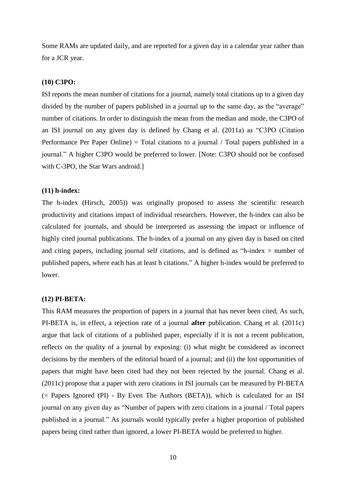Some RAMs are updated daily, and are reported for a given day in a calendar year rather than for a JCR year.

#### **(10) C3PO:**

ISI reports the mean number of citations for a journal, namely total citations up to a given day divided by the number of papers published in a journal up to the same day, as the "average" number of citations. In order to distinguish the mean from the median and mode, the C3PO of an ISI journal on any given day is defined by Chang et al. (2011a) as "C3PO (Citation Performance Per Paper Online) = Total citations to a journal / Total papers published in a journal." A higher C3PO would be preferred to lower. [Note: C3PO should not be confused with C-3PO, the Star Wars android.]

#### **(11) h-index:**

The h-index (Hirsch, 2005)) was originally proposed to assess the scientific research productivity and citations impact of individual researchers. However, the h-index can also be calculated for journals, and should be interpreted as assessing the impact or influence of highly cited journal publications. The h-index of a journal on any given day is based on cited and citing papers, including journal self citations, and is defined as "h-index = number of published papers, where each has at least h citations." A higher h-index would be preferred to lower.

#### **(12) PI-BETA:**

This RAM measures the proportion of papers in a journal that has never been cited, As such, PI-BETA is, in effect, a rejection rate of a journal **after** publication. Chang et al. (2011c) argue that lack of citations of a published paper, especially if it is not a recent publication, reflects on the quality of a journal by exposing: (i) what might be considered as incorrect decisions by the members of the editorial board of a journal; and (ii) the lost opportunities of papers that might have been cited had they not been rejected by the journal. Chang et al. (2011c) propose that a paper with zero citations in ISI journals can be measured by PI-BETA (= Papers Ignored (PI) - By Even The Authors (BETA)), which is calculated for an ISI journal on any given day as "Number of papers with zero citations in a journal / Total papers published in a journal." As journals would typically prefer a higher proportion of published papers being cited rather than ignored, a lower PI-BETA would be preferred to higher.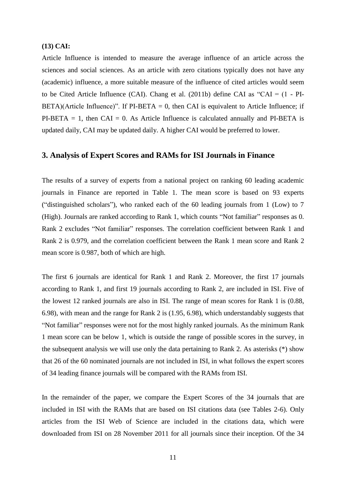#### **(13) CAI:**

Article Influence is intended to measure the average influence of an article across the sciences and social sciences. As an article with zero citations typically does not have any (academic) influence, a more suitable measure of the influence of cited articles would seem to be Cited Article Influence (CAI). Chang et al. (2011b) define CAI as "CAI =  $(1 - PI$ -BETA)(Article Influence)". If PI-BETA = 0, then CAI is equivalent to Article Influence; if  $PI-BETA = 1$ , then  $CAI = 0$ . As Article Influence is calculated annually and PI-BETA is updated daily, CAI may be updated daily. A higher CAI would be preferred to lower.

#### **3. Analysis of Expert Scores and RAMs for ISI Journals in Finance**

The results of a survey of experts from a national project on ranking 60 leading academic journals in Finance are reported in Table 1. The mean score is based on 93 experts ("distinguished scholars"), who ranked each of the 60 leading journals from 1 (Low) to 7 (High). Journals are ranked according to Rank 1, which counts "Not familiar" responses as 0. Rank 2 excludes "Not familiar" responses. The correlation coefficient between Rank 1 and Rank 2 is 0.979, and the correlation coefficient between the Rank 1 mean score and Rank 2 mean score is 0.987, both of which are high.

The first 6 journals are identical for Rank 1 and Rank 2. Moreover, the first 17 journals according to Rank 1, and first 19 journals according to Rank 2, are included in ISI. Five of the lowest 12 ranked journals are also in ISI. The range of mean scores for Rank 1 is (0.88, 6.98), with mean and the range for Rank 2 is (1.95, 6.98), which understandably suggests that "Not familiar" responses were not for the most highly ranked journals. As the minimum Rank 1 mean score can be below 1, which is outside the range of possible scores in the survey, in the subsequent analysis we will use only the data pertaining to Rank 2. As asterisks (\*) show that 26 of the 60 nominated journals are not included in ISI, in what follows the expert scores of 34 leading finance journals will be compared with the RAMs from ISI.

In the remainder of the paper, we compare the Expert Scores of the 34 journals that are included in ISI with the RAMs that are based on ISI citations data (see Tables 2-6). Only articles from the ISI Web of Science are included in the citations data, which were downloaded from ISI on 28 November 2011 for all journals since their inception. Of the 34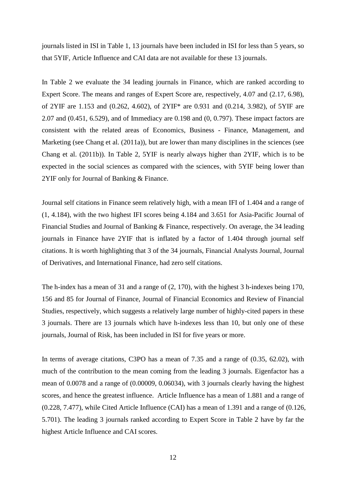journals listed in ISI in Table 1, 13 journals have been included in ISI for less than 5 years, so that 5YIF, Article Influence and CAI data are not available for these 13 journals.

In Table 2 we evaluate the 34 leading journals in Finance, which are ranked according to Expert Score. The means and ranges of Expert Score are, respectively, 4.07 and (2.17, 6.98), of 2YIF are 1.153 and (0.262, 4.602), of 2YIF\* are 0.931 and (0.214, 3.982), of 5YIF are 2.07 and (0.451, 6.529), and of Immediacy are 0.198 and (0, 0.797). These impact factors are consistent with the related areas of Economics, Business - Finance, Management, and Marketing (see Chang et al. (2011a)), but are lower than many disciplines in the sciences (see Chang et al. (2011b)). In Table 2, 5YIF is nearly always higher than 2YIF, which is to be expected in the social sciences as compared with the sciences, with 5YIF being lower than 2YIF only for Journal of Banking & Finance.

Journal self citations in Finance seem relatively high, with a mean IFI of 1.404 and a range of (1, 4.184), with the two highest IFI scores being 4.184 and 3.651 for Asia-Pacific Journal of Financial Studies and Journal of Banking & Finance, respectively. On average, the 34 leading journals in Finance have 2YIF that is inflated by a factor of 1.404 through journal self citations. It is worth highlighting that 3 of the 34 journals, Financial Analysts Journal, Journal of Derivatives, and International Finance, had zero self citations.

The h-index has a mean of 31 and a range of (2, 170), with the highest 3 h-indexes being 170, 156 and 85 for Journal of Finance, Journal of Financial Economics and Review of Financial Studies, respectively, which suggests a relatively large number of highly-cited papers in these 3 journals. There are 13 journals which have h-indexes less than 10, but only one of these journals, Journal of Risk, has been included in ISI for five years or more.

In terms of average citations, C3PO has a mean of 7.35 and a range of (0.35, 62.02), with much of the contribution to the mean coming from the leading 3 journals. Eigenfactor has a mean of 0.0078 and a range of (0.00009, 0.06034), with 3 journals clearly having the highest scores, and hence the greatest influence. Article Influence has a mean of 1.881 and a range of (0.228, 7.477), while Cited Article Influence (CAI) has a mean of 1.391 and a range of (0.126, 5.701). The leading 3 journals ranked according to Expert Score in Table 2 have by far the highest Article Influence and CAI scores.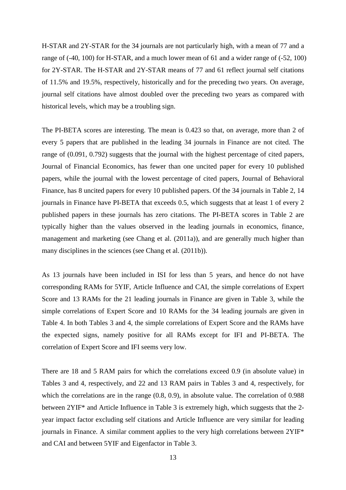H-STAR and 2Y-STAR for the 34 journals are not particularly high, with a mean of 77 and a range of (-40, 100) for H-STAR, and a much lower mean of 61 and a wider range of (-52, 100) for 2Y-STAR. The H-STAR and 2Y-STAR means of 77 and 61 reflect journal self citations of 11.5% and 19.5%, respectively, historically and for the preceding two years. On average, journal self citations have almost doubled over the preceding two years as compared with historical levels, which may be a troubling sign.

The PI-BETA scores are interesting. The mean is 0.423 so that, on average, more than 2 of every 5 papers that are published in the leading 34 journals in Finance are not cited. The range of (0.091, 0.792) suggests that the journal with the highest percentage of cited papers, Journal of Financial Economics, has fewer than one uncited paper for every 10 published papers, while the journal with the lowest percentage of cited papers, Journal of Behavioral Finance, has 8 uncited papers for every 10 published papers. Of the 34 journals in Table 2, 14 journals in Finance have PI-BETA that exceeds 0.5, which suggests that at least 1 of every 2 published papers in these journals has zero citations. The PI-BETA scores in Table 2 are typically higher than the values observed in the leading journals in economics, finance, management and marketing (see Chang et al. (2011a)), and are generally much higher than many disciplines in the sciences (see Chang et al.  $(2011b)$ ).

As 13 journals have been included in ISI for less than 5 years, and hence do not have corresponding RAMs for 5YIF, Article Influence and CAI, the simple correlations of Expert Score and 13 RAMs for the 21 leading journals in Finance are given in Table 3, while the simple correlations of Expert Score and 10 RAMs for the 34 leading journals are given in Table 4. In both Tables 3 and 4, the simple correlations of Expert Score and the RAMs have the expected signs, namely positive for all RAMs except for IFI and PI-BETA. The correlation of Expert Score and IFI seems very low.

There are 18 and 5 RAM pairs for which the correlations exceed 0.9 (in absolute value) in Tables 3 and 4, respectively, and 22 and 13 RAM pairs in Tables 3 and 4, respectively, for which the correlations are in the range  $(0.8, 0.9)$ , in absolute value. The correlation of 0.988 between 2YIF\* and Article Influence in Table 3 is extremely high, which suggests that the 2 year impact factor excluding self citations and Article Influence are very similar for leading journals in Finance. A similar comment applies to the very high correlations between 2YIF\* and CAI and between 5YIF and Eigenfactor in Table 3.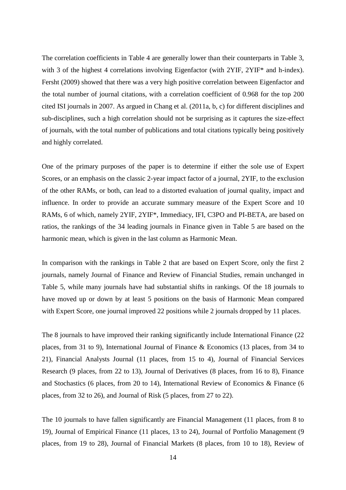The correlation coefficients in Table 4 are generally lower than their counterparts in Table 3, with 3 of the highest 4 correlations involving Eigenfactor (with 2YIF, 2YIF<sup>\*</sup> and h-index). Fersht (2009) showed that there was a very high positive correlation between Eigenfactor and the total number of journal citations, with a correlation coefficient of 0.968 for the top 200 cited ISI journals in 2007. As argued in Chang et al. (2011a, b, c) for different disciplines and sub-disciplines, such a high correlation should not be surprising as it captures the size-effect of journals, with the total number of publications and total citations typically being positively and highly correlated.

One of the primary purposes of the paper is to determine if either the sole use of Expert Scores, or an emphasis on the classic 2-year impact factor of a journal, 2YIF, to the exclusion of the other RAMs, or both, can lead to a distorted evaluation of journal quality, impact and influence. In order to provide an accurate summary measure of the Expert Score and 10 RAMs, 6 of which, namely 2YIF, 2YIF\*, Immediacy, IFI, C3PO and PI-BETA, are based on ratios, the rankings of the 34 leading journals in Finance given in Table 5 are based on the harmonic mean, which is given in the last column as Harmonic Mean.

In comparison with the rankings in Table 2 that are based on Expert Score, only the first 2 journals, namely Journal of Finance and Review of Financial Studies, remain unchanged in Table 5, while many journals have had substantial shifts in rankings. Of the 18 journals to have moved up or down by at least 5 positions on the basis of Harmonic Mean compared with Expert Score, one journal improved 22 positions while 2 journals dropped by 11 places.

The 8 journals to have improved their ranking significantly include International Finance (22 places, from 31 to 9), International Journal of Finance & Economics (13 places, from 34 to 21), Financial Analysts Journal (11 places, from 15 to 4), Journal of Financial Services Research (9 places, from 22 to 13), Journal of Derivatives (8 places, from 16 to 8), Finance and Stochastics (6 places, from 20 to 14), International Review of Economics & Finance (6 places, from 32 to 26), and Journal of Risk (5 places, from 27 to 22).

The 10 journals to have fallen significantly are Financial Management (11 places, from 8 to 19), Journal of Empirical Finance (11 places, 13 to 24), Journal of Portfolio Management (9 places, from 19 to 28), Journal of Financial Markets (8 places, from 10 to 18), Review of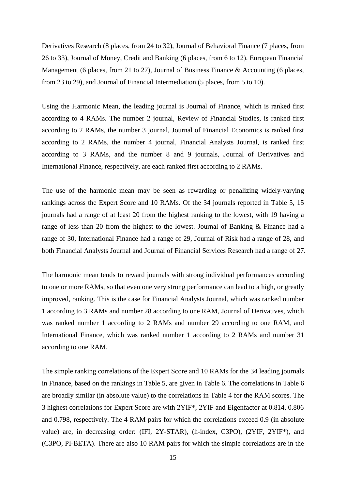Derivatives Research (8 places, from 24 to 32), Journal of Behavioral Finance (7 places, from 26 to 33), Journal of Money, Credit and Banking (6 places, from 6 to 12), European Financial Management (6 places, from 21 to 27), Journal of Business Finance & Accounting (6 places, from 23 to 29), and Journal of Financial Intermediation (5 places, from 5 to 10).

Using the Harmonic Mean, the leading journal is Journal of Finance, which is ranked first according to 4 RAMs. The number 2 journal, Review of Financial Studies, is ranked first according to 2 RAMs, the number 3 journal, Journal of Financial Economics is ranked first according to 2 RAMs, the number 4 journal, Financial Analysts Journal, is ranked first according to 3 RAMs, and the number 8 and 9 journals, Journal of Derivatives and International Finance, respectively, are each ranked first according to 2 RAMs.

The use of the harmonic mean may be seen as rewarding or penalizing widely-varying rankings across the Expert Score and 10 RAMs. Of the 34 journals reported in Table 5, 15 journals had a range of at least 20 from the highest ranking to the lowest, with 19 having a range of less than 20 from the highest to the lowest. Journal of Banking & Finance had a range of 30, International Finance had a range of 29, Journal of Risk had a range of 28, and both Financial Analysts Journal and Journal of Financial Services Research had a range of 27.

The harmonic mean tends to reward journals with strong individual performances according to one or more RAMs, so that even one very strong performance can lead to a high, or greatly improved, ranking. This is the case for Financial Analysts Journal, which was ranked number 1 according to 3 RAMs and number 28 according to one RAM, Journal of Derivatives, which was ranked number 1 according to 2 RAMs and number 29 according to one RAM, and International Finance, which was ranked number 1 according to 2 RAMs and number 31 according to one RAM.

The simple ranking correlations of the Expert Score and 10 RAMs for the 34 leading journals in Finance, based on the rankings in Table 5, are given in Table 6. The correlations in Table 6 are broadly similar (in absolute value) to the correlations in Table 4 for the RAM scores. The 3 highest correlations for Expert Score are with 2YIF\*, 2YIF and Eigenfactor at 0.814, 0.806 and 0.798, respectively. The 4 RAM pairs for which the correlations exceed 0.9 (in absolute value) are, in decreasing order: (IFI, 2Y-STAR), (h-index, C3PO), (2YIF, 2YIF\*), and (C3PO, PI-BETA). There are also 10 RAM pairs for which the simple correlations are in the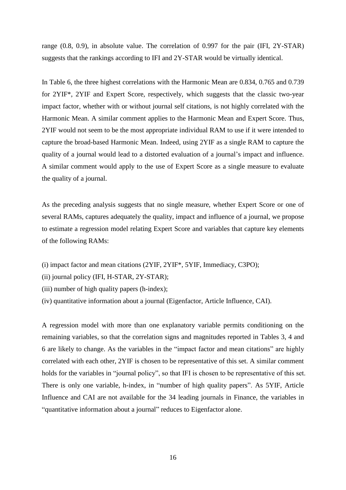range (0.8, 0.9), in absolute value. The correlation of 0.997 for the pair (IFI, 2Y-STAR) suggests that the rankings according to IFI and 2Y-STAR would be virtually identical.

In Table 6, the three highest correlations with the Harmonic Mean are 0.834, 0.765 and 0.739 for 2YIF\*, 2YIF and Expert Score, respectively, which suggests that the classic two-year impact factor, whether with or without journal self citations, is not highly correlated with the Harmonic Mean. A similar comment applies to the Harmonic Mean and Expert Score. Thus, 2YIF would not seem to be the most appropriate individual RAM to use if it were intended to capture the broad-based Harmonic Mean. Indeed, using 2YIF as a single RAM to capture the quality of a journal would lead to a distorted evaluation of a journal's impact and influence. A similar comment would apply to the use of Expert Score as a single measure to evaluate the quality of a journal.

As the preceding analysis suggests that no single measure, whether Expert Score or one of several RAMs, captures adequately the quality, impact and influence of a journal, we propose to estimate a regression model relating Expert Score and variables that capture key elements of the following RAMs:

- (i) impact factor and mean citations (2YIF, 2YIF\*, 5YIF, Immediacy, C3PO);
- (ii) journal policy (IFI, H-STAR, 2Y-STAR);
- (iii) number of high quality papers (h-index);
- (iv) quantitative information about a journal (Eigenfactor, Article Influence, CAI).

A regression model with more than one explanatory variable permits conditioning on the remaining variables, so that the correlation signs and magnitudes reported in Tables 3, 4 and 6 are likely to change. As the variables in the "impact factor and mean citations" are highly correlated with each other, 2YIF is chosen to be representative of this set. A similar comment holds for the variables in "journal policy", so that IFI is chosen to be representative of this set. There is only one variable, h-index, in "number of high quality papers". As 5YIF, Article Influence and CAI are not available for the 34 leading journals in Finance, the variables in "quantitative information about a journal" reduces to Eigenfactor alone.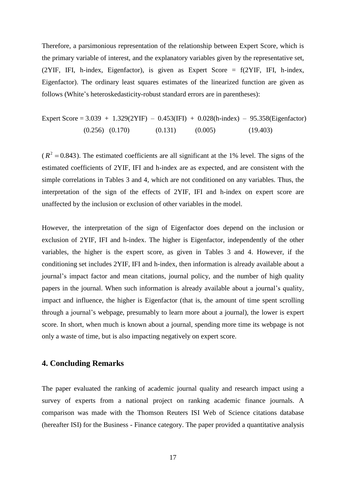Therefore, a parsimonious representation of the relationship between Expert Score, which is the primary variable of interest, and the explanatory variables given by the representative set, (2YIF, IFI, h-index, Eigenfactor), is given as Expert Score = f(2YIF, IFI, h-index, Eigenfactor). The ordinary least squares estimates of the linearized function are given as follows (White's heteroskedasticity-robust standard errors are in parentheses):

Expert Score = 
$$
3.039 + 1.329(2YIF) - 0.453(IFI) + 0.028(h-index) - 95.358(Eigenfactor)
$$

\n(0.256) (0.170) (0.131) (0.005) (19.403)

 $(R<sup>2</sup> = 0.843)$ . The estimated coefficients are all significant at the 1% level. The signs of the estimated coefficients of 2YIF, IFI and h-index are as expected, and are consistent with the simple correlations in Tables 3 and 4, which are not conditioned on any variables. Thus, the interpretation of the sign of the effects of 2YIF, IFI and h-index on expert score are unaffected by the inclusion or exclusion of other variables in the model.

However, the interpretation of the sign of Eigenfactor does depend on the inclusion or exclusion of 2YIF, IFI and h-index. The higher is Eigenfactor, independently of the other variables, the higher is the expert score, as given in Tables 3 and 4. However, if the conditioning set includes 2YIF, IFI and h-index, then information is already available about a journal's impact factor and mean citations, journal policy, and the number of high quality papers in the journal. When such information is already available about a journal's quality, impact and influence, the higher is Eigenfactor (that is, the amount of time spent scrolling through a journal's webpage, presumably to learn more about a journal), the lower is expert score. In short, when much is known about a journal, spending more time its webpage is not only a waste of time, but is also impacting negatively on expert score.

#### **4. Concluding Remarks**

The paper evaluated the ranking of academic journal quality and research impact using a survey of experts from a national project on ranking academic finance journals. A comparison was made with the Thomson Reuters ISI Web of Science citations database (hereafter ISI) for the Business - Finance category. The paper provided a quantitative analysis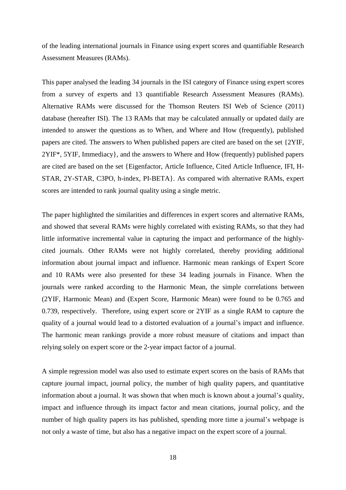of the leading international journals in Finance using expert scores and quantifiable Research Assessment Measures (RAMs).

This paper analysed the leading 34 journals in the ISI category of Finance using expert scores from a survey of experts and 13 quantifiable Research Assessment Measures (RAMs). Alternative RAMs were discussed for the Thomson Reuters ISI Web of Science (2011) database (hereafter ISI). The 13 RAMs that may be calculated annually or updated daily are intended to answer the questions as to When, and Where and How (frequently), published papers are cited. The answers to When published papers are cited are based on the set {2YIF, 2YIF\*, 5YIF, Immediacy}, and the answers to Where and How (frequently) published papers are cited are based on the set {Eigenfactor, Article Influence, Cited Article Influence, IFI, H-STAR, 2Y-STAR, C3PO, h-index, PI-BETA}. As compared with alternative RAMs, expert scores are intended to rank journal quality using a single metric.

The paper highlighted the similarities and differences in expert scores and alternative RAMs, and showed that several RAMs were highly correlated with existing RAMs, so that they had little informative incremental value in capturing the impact and performance of the highlycited journals. Other RAMs were not highly correlated, thereby providing additional information about journal impact and influence. Harmonic mean rankings of Expert Score and 10 RAMs were also presented for these 34 leading journals in Finance. When the journals were ranked according to the Harmonic Mean, the simple correlations between (2YIF, Harmonic Mean) and (Expert Score, Harmonic Mean) were found to be 0.765 and 0.739, respectively. Therefore, using expert score or 2YIF as a single RAM to capture the quality of a journal would lead to a distorted evaluation of a journal's impact and influence. The harmonic mean rankings provide a more robust measure of citations and impact than relying solely on expert score or the 2-year impact factor of a journal.

A simple regression model was also used to estimate expert scores on the basis of RAMs that capture journal impact, journal policy, the number of high quality papers, and quantitative information about a journal. It was shown that when much is known about a journal's quality, impact and influence through its impact factor and mean citations, journal policy, and the number of high quality papers its has published, spending more time a journal's webpage is not only a waste of time, but also has a negative impact on the expert score of a journal.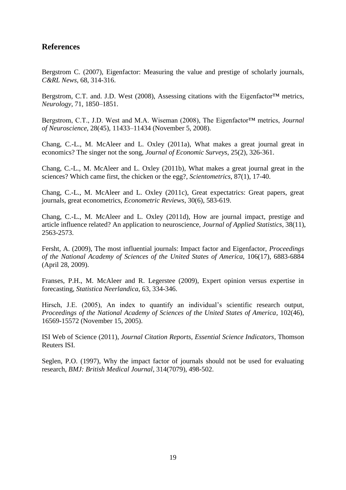### **References**

Bergstrom C. (2007), Eigenfactor: Measuring the value and prestige of scholarly journals, *C&RL News*, 68, 314-316.

Bergstrom, C.T. and. J.D. West (2008), Assessing citations with the Eigenfactor<sup>TM</sup> metrics, *Neurology*, 71, 1850–1851.

Bergstrom, C.T., J.D. West and M.A. Wiseman (2008), The Eigenfactor™ metrics, *Journal of Neuroscience*, 28(45), 11433–11434 (November 5, 2008).

Chang, C.-L., M. McAleer and L. Oxley (2011a), What makes a great journal great in economics? The singer not the song, *Journal of Economic Surveys*, 25(2), 326-361.

Chang, C.-L., M. McAleer and L. Oxley (2011b), What makes a great journal great in the sciences? Which came first, the chicken or the egg?, *Scientometrics*, 87(1), 17-40.

Chang, C.-L., M. McAleer and L. Oxley (2011c), Great expectatrics: Great papers, great journals, great econometrics, *Econometric Reviews*, 30(6), 583-619.

Chang, C.-L., M. McAleer and L. Oxley (2011d), How are journal impact, prestige and article influence related? An application to neuroscience, *Journal of Applied Statistics*, 38(11), 2563-2573.

Fersht, A. (2009), The most influential journals: Impact factor and Eigenfactor, *Proceedings of the National Academy of Sciences of the United States of America,* 106(17), 6883-6884 (April 28, 2009).

Franses, P.H., M. McAleer and R. Legerstee (2009), Expert opinion versus expertise in forecasting, *Statistica Neerlandica*, 63, 334-346.

Hirsch, J.E. (2005), An index to quantify an individual's scientific research output, *Proceedings of the National Academy of Sciences of the United States of America, 102(46),* 16569-15572 (November 15, 2005).

ISI Web of Science (2011), *Journal Citation Reports, Essential Science Indicators*, Thomson Reuters ISI.

Seglen, P.O. (1997), Why the impact factor of journals should not be used for evaluating research, *BMJ: British Medical Journal*, 314(7079), 498-502.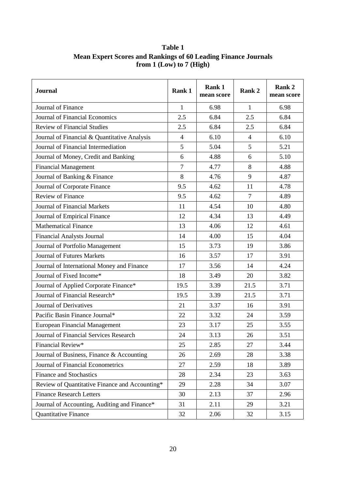**Table 1 Mean Expert Scores and Rankings of 60 Leading Finance Journals from 1 (Low) to 7 (High)**

| <b>Journal</b>                                 | <b>Rank 1</b>  | Rank 1<br>mean score | <b>Rank 2</b>  | Rank 2<br>mean score |
|------------------------------------------------|----------------|----------------------|----------------|----------------------|
| Journal of Finance                             | 1              | 6.98                 | $\mathbf{1}$   | 6.98                 |
| Journal of Financial Economics                 | 2.5            | 6.84                 | 2.5            | 6.84                 |
| <b>Review of Financial Studies</b>             | 2.5            | 6.84                 | 2.5            | 6.84                 |
| Journal of Financial & Quantitative Analysis   | $\overline{4}$ | 6.10                 | $\overline{4}$ | 6.10                 |
| Journal of Financial Intermediation            | 5              | 5.04                 | 5              | 5.21                 |
| Journal of Money, Credit and Banking           | 6              | 4.88                 | 6              | 5.10                 |
| <b>Financial Management</b>                    | $\overline{7}$ | 4.77                 | $8\,$          | 4.88                 |
| Journal of Banking & Finance                   | 8              | 4.76                 | 9              | 4.87                 |
| Journal of Corporate Finance                   | 9.5            | 4.62                 | 11             | 4.78                 |
| <b>Review of Finance</b>                       | 9.5            | 4.62                 | $\overline{7}$ | 4.89                 |
| <b>Journal of Financial Markets</b>            | 11             | 4.54                 | 10             | 4.80                 |
| Journal of Empirical Finance                   | 12             | 4.34                 | 13             | 4.49                 |
| <b>Mathematical Finance</b>                    | 13             | 4.06                 | 12             | 4.61                 |
| <b>Financial Analysts Journal</b>              | 14             | 4.00                 | 15             | 4.04                 |
| Journal of Portfolio Management                | 15             | 3.73                 | 19             | 3.86                 |
| <b>Journal of Futures Markets</b>              | 16             | 3.57                 | 17             | 3.91                 |
| Journal of International Money and Finance     | 17             | 3.56                 | 14             | 4.24                 |
| Journal of Fixed Income*                       | 18             | 3.49                 | 20             | 3.82                 |
| Journal of Applied Corporate Finance*          | 19.5           | 3.39                 | 21.5           | 3.71                 |
| Journal of Financial Research*                 | 19.5           | 3.39                 | 21.5           | 3.71                 |
| Journal of Derivatives                         | 21             | 3.37                 | 16             | 3.91                 |
| Pacific Basin Finance Journal*                 | 22             | 3.32                 | 24             | 3.59                 |
| <b>European Financial Management</b>           | 23             | 3.17                 | 25             | 3.55                 |
| Journal of Financial Services Research         | 24             | 3.13                 | 26             | 3.51                 |
| Financial Review*                              | 25             | 2.85                 | 27             | 3.44                 |
| Journal of Business, Finance & Accounting      | 26             | 2.69                 | 28             | 3.38                 |
| Journal of Financial Econometrics              | 27             | 2.59                 | 18             | 3.89                 |
| <b>Finance and Stochastics</b>                 | 28             | 2.34                 | 23             | 3.63                 |
| Review of Quantitative Finance and Accounting* | 29             | 2.28                 | 34             | 3.07                 |
| <b>Finance Research Letters</b>                | 30             | 2.13                 | 37             | 2.96                 |
| Journal of Accounting, Auditing and Finance*   | 31             | 2.11                 | 29             | 3.21                 |
| Quantitative Finance                           | 32             | 2.06                 | 32             | 3.15                 |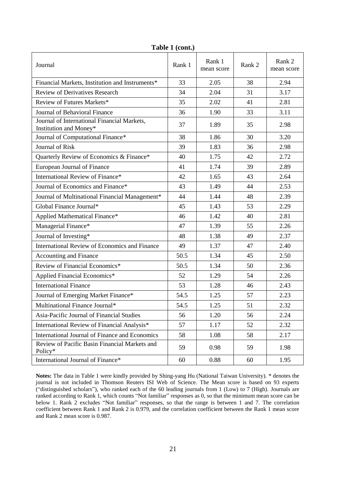| Journal                                                               | Rank 1 | Rank 1<br>mean score | Rank 2 | Rank 2<br>mean score |
|-----------------------------------------------------------------------|--------|----------------------|--------|----------------------|
| Financial Markets, Institution and Instruments*                       | 33     | 2.05                 | 38     | 2.94                 |
| <b>Review of Derivatives Research</b>                                 | 34     | 2.04                 | 31     | 3.17                 |
| Review of Futures Markets*                                            | 35     | 2.02                 | 41     | 2.81                 |
| Journal of Behavioral Finance                                         | 36     | 1.90                 | 33     | 3.11                 |
| Journal of International Financial Markets,<br>Institution and Money* | 37     | 1.89                 | 35     | 2.98                 |
| Journal of Computational Finance*                                     | 38     | 1.86                 | 30     | 3.20                 |
| Journal of Risk                                                       | 39     | 1.83                 | 36     | 2.98                 |
| Quarterly Review of Economics & Finance*                              | 40     | 1.75                 | 42     | 2.72                 |
| European Journal of Finance                                           | 41     | 1.74                 | 39     | 2.89                 |
| International Review of Finance*                                      | 42     | 1.65                 | 43     | 2.64                 |
| Journal of Economics and Finance*                                     | 43     | 1.49                 | 44     | 2.53                 |
| Journal of Multinational Financial Management*                        | 44     | 1.44                 | 48     | 2.39                 |
| Global Finance Journal*                                               | 45     | 1.43                 | 53     | 2.29                 |
| Applied Mathematical Finance*                                         | 46     | 1.42                 | 40     | 2.81                 |
| Managerial Finance*                                                   | 47     | 1.39                 | 55     | 2.26                 |
| Journal of Investing*                                                 | 48     | 1.38                 | 49     | 2.37                 |
| International Review of Economics and Finance                         | 49     | 1.37                 | 47     | 2.40                 |
| Accounting and Finance                                                | 50.5   | 1.34                 | 45     | 2.50                 |
| Review of Financial Economics*                                        | 50.5   | 1.34                 | 50     | 2.36                 |
| Applied Financial Economics*                                          | 52     | 1.29                 | 54     | 2.26                 |
| <b>International Finance</b>                                          | 53     | 1.28                 | 46     | 2.43                 |
| Journal of Emerging Market Finance*                                   | 54.5   | 1.25                 | 57     | 2.23                 |
| Multinational Finance Journal*                                        | 54.5   | 1.25                 | 51     | 2.32                 |
| Asia-Pacific Journal of Financial Studies                             | 56     | 1.20                 | 56     | 2.24                 |
| International Review of Financial Analysis*                           | 57     | 1.17                 | 52     | 2.32                 |
| International Journal of Finance and Economics                        | 58     | 1.08                 | 58     | 2.17                 |
| Review of Pacific Basin Financial Markets and<br>Policy*              | 59     | 0.98                 | 59     | 1.98                 |
| International Journal of Finance*                                     | 60     | 0.88                 | 60     | 1.95                 |

**Table 1 (cont.)**

**Notes:** The data in Table 1 were kindly provided by Shing-yang Hu (National Taiwan University). \* denotes the journal is not included in Thomson Reuters ISI Web of Science. The Mean score is based on 93 experts ("distinguished scholars"), who ranked each of the 60 leading journals from 1 (Low) to 7 (High). Journals are ranked according to Rank 1, which counts "Not familiar" responses as 0, so that the minimum mean score can be below 1. Rank 2 excludes "Not familiar" responses, so that the range is between 1 and 7. The correlation coefficient between Rank 1 and Rank 2 is 0.979, and the correlation coefficient between the Rank 1 mean score and Rank 2 mean score is 0.987.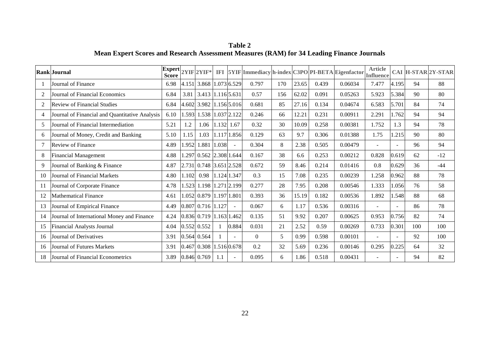**Table 2 Mean Expert Scores and Research Assessment Measures (RAM) for 34 Leading Finance Journals**

|                | <b>Rank</b> Journal                            | <b>Expert</b><br><b>Score</b> |       | 2YIF 2YIF*                | <b>IFI</b> |             |          |     |       |       | 5YIF Immediacy h-index C3PO PI-BETA Eigenfactor | Article<br><b>Influence</b> |                          |     | <b>CAI H-STAR 2Y-STAR</b> |
|----------------|------------------------------------------------|-------------------------------|-------|---------------------------|------------|-------------|----------|-----|-------|-------|-------------------------------------------------|-----------------------------|--------------------------|-----|---------------------------|
|                | Journal of Finance                             | 6.98                          |       | 4.151 3.868 1.073 6.529   |            |             | 0.797    | 170 | 23.65 | 0.439 | 0.06034                                         | 7.477                       | 4.195                    | 94  | 88                        |
| 2              | Journal of Financial Economics                 | 6.84                          |       | 3.81 3.413 1.116 5.631    |            |             | 0.57     | 156 | 62.02 | 0.091 | 0.05263                                         | 5.923                       | 5.384                    | 90  | 80                        |
| 2              | <b>Review of Financial Studies</b>             | 6.84                          |       | 4.602 3.982 1.156 5.016   |            |             | 0.681    | 85  | 27.16 | 0.134 | 0.04674                                         | 6.583                       | 5.701                    | 84  | 74                        |
| $\overline{4}$ | Journal of Financial and Quantitative Analysis | 6.10                          | 1.593 | 1.538 1.037 2.122         |            |             | 0.246    | 66  | 12.21 | 0.231 | 0.00911                                         | 2.291                       | 1.762                    | 94  | 94                        |
| 5              | Journal of Financial Intermediation            | 5.21                          | 1.2   | 1.06                      | 1.132 1.67 |             | 0.32     | 30  | 10.09 | 0.258 | 0.00381                                         | 1.752                       | 1.3                      | 94  | 78                        |
| 6              | Journal of Money, Credit and Banking           | 5.10                          | 1.15  | 1.03                      |            | 1.117 1.856 | 0.129    | 63  | 9.7   | 0.306 | 0.01388                                         | 1.75                        | 1.215                    | 90  | 80                        |
|                | <b>Review of Finance</b>                       | 4.89                          | 1.952 |                           | .881 1.038 | $\sim$      | 0.304    | 8   | 2.38  | 0.505 | 0.00479                                         |                             | $\overline{\phantom{a}}$ | 96  | 94                        |
| 8              | <b>Financial Management</b>                    | 4.88                          | .297  | $0.562$ 2.308 1.644       |            |             | 0.167    | 38  | 6.6   | 0.253 | 0.00212                                         | 0.828                       | 0.619                    | 62  | $-12$                     |
| 9              | Journal of Banking & Finance                   | 4.87                          |       | 2.731 0.748 3.651 2.528   |            |             | 0.672    | 59  | 8.46  | 0.214 | 0.01416                                         | 0.8                         | 0.629                    | 36  | $-44$                     |
| 10             | Journal of Financial Markets                   | 4.80                          | 1.102 | 0.98                      |            | 1.124 1.347 | 0.3      | 15  | 7.08  | 0.235 | 0.00239                                         | 1.258                       | 0.962                    | 88  | 78                        |
| 11             | Journal of Corporate Finance                   | 4.78                          | 1.523 | 1.198 1.271 2.199         |            |             | 0.277    | 28  | 7.95  | 0.208 | 0.00546                                         | 1.333                       | 1.056                    | 76  | 58                        |
| 12             | <b>Mathematical Finance</b>                    | 4.61                          |       | 1.052 0.879 1.197 1.801   |            |             | 0.393    | 36  | 15.19 | 0.182 | 0.00536                                         | 1.892                       | 1.548                    | 88  | 68                        |
| 13             | Journal of Empirical Finance                   | 4.49                          |       | 0.807 0.716 1.127         |            | $\sim$      | 0.067    | 6   | 1.17  | 0.536 | 0.00316                                         |                             | $\sim$                   | 86  | 78                        |
| 14             | Journal of International Money and Finance     | 4.24                          |       | 0.836 0.719 1.163 1.462   |            |             | 0.135    | 51  | 9.92  | 0.207 | 0.00625                                         | 0.953                       | 0.756                    | 82  | 74                        |
| 15             | Financial Analysts Journal                     | 4.04                          |       | $0.552 \, 0.552$          |            | 0.884       | 0.031    | 21  | 2.52  | 0.59  | 0.00269                                         | 0.733                       | 0.301                    | 100 | 100                       |
| 16             | Journal of Derivatives                         | 3.91                          |       | 0.564 0.564               |            | $\sim$      | $\theta$ | 5   | 0.99  | 0.598 | 0.00101                                         |                             | $\sim$                   | 92  | 100                       |
| 16             | Journal of Futures Markets                     | 3.91                          |       | $0.467$ 0.308 1.516 0.678 |            |             | 0.2      | 32  | 5.69  | 0.236 | 0.00146                                         | 0.295                       | 0.225                    | 64  | 32                        |
| 18             | Journal of Financial Econometrics              | 3.89                          |       | 0.846 0.769               | 1.1        |             | 0.095    | 6   | 1.86  | 0.518 | 0.00431                                         |                             |                          | 94  | 82                        |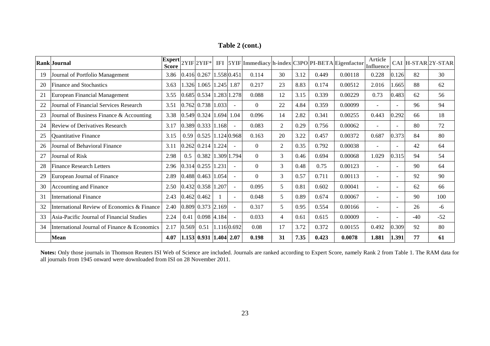| Table 2 (cont.) |  |
|-----------------|--|
|-----------------|--|

|    | <b>Rank</b> Journal                          | <b>Expert!</b><br><b>Score</b> |       | 2YIF 2YIF*                                       |                  |                          |          |    |      |       | IFI   5YIF   Immediacy   h-index   C3PO   PI-BETA   Eigenfactor | <b>Article</b><br><b>Influence</b> |                          |       | CAI H-STAR 2Y-STAR |
|----|----------------------------------------------|--------------------------------|-------|--------------------------------------------------|------------------|--------------------------|----------|----|------|-------|-----------------------------------------------------------------|------------------------------------|--------------------------|-------|--------------------|
| 19 | Journal of Portfolio Management              | 3.86                           |       | 0.416 0.267 1.558 0.451                          |                  |                          | 0.114    | 30 | 3.12 | 0.449 | 0.00118                                                         | 0.228                              | 0.126                    | 82    | 30                 |
| 20 | Finance and Stochastics                      | 3.63                           | 1.326 | 1.065                                            | 1.245            | 1.87                     | 0.217    | 23 | 8.83 | 0.174 | 0.00512                                                         | 2.016                              | .665                     | 88    | 62                 |
| 21 | <b>European Financial Management</b>         | 3.55                           |       | $0.685 \mid 0.534 \mid$                          | 1.283            | 1.278                    | 0.088    | 12 | 3.15 | 0.339 | 0.00229                                                         | 0.73                               | 0.483                    | 62    | 56                 |
| 22 | Journal of Financial Services Research       | 3.51                           |       | $0.762$ 0.738 1.033                              |                  | $\overline{a}$           | $\Omega$ | 22 | 4.84 | 0.359 | 0.00099                                                         |                                    | $\sim$                   | 96    | 94                 |
| 23 | Journal of Business Finance & Accounting     | 3.38                           |       | $0.549$ 0.324                                    | 1.694            | 1.04                     | 0.096    | 14 | 2.82 | 0.341 | 0.00255                                                         | 0.443                              | 0.292                    | 66    | 18                 |
| 24 | Review of Derivatives Research               | 3.17                           |       | $0.389$ 0.333                                    | 1.168            | $\overline{\phantom{a}}$ | 0.083    | 2  | 0.29 | 0.756 | 0.00062                                                         |                                    | $\sim$                   | 80    | 72                 |
| 25 | <b>Ouantitative Finance</b>                  | 3.15                           | 0.59  | $0.525$ 1.124 0.968                              |                  |                          | 0.163    | 20 | 3.22 | 0.457 | 0.00372                                                         | 0.687                              | 0.373                    | 84    | 80                 |
| 26 | Journal of Behavioral Finance                | 3.11                           |       | 0.262 0.214 1.224                                |                  | $\sim$                   | $\theta$ | 2  | 0.35 | 0.792 | 0.00038                                                         |                                    | $\sim$                   | 42    | 64                 |
| 27 | Journal of Risk                              | 2.98                           | 0.5   | 0.382                                            | 1.309            | 1.794                    | $\Omega$ | 3  | 0.46 | 0.694 | 0.00068                                                         | 1.029                              | 0.315                    | 94    | 54                 |
| 28 | <b>Finance Research Letters</b>              | 2.96                           |       | $0.314$ 0.255                                    | 1.231            | $\overline{a}$           | $\theta$ | 3  | 0.48 | 0.75  | 0.00123                                                         | $\overline{a}$                     | $\sim$                   | 90    | 64                 |
| 29 | European Journal of Finance                  | 2.89                           |       | $0.488$ 0.463 1.054                              |                  |                          | $\Omega$ | 3  | 0.57 | 0.711 | 0.00113                                                         | $\overline{a}$                     | $\overline{\phantom{0}}$ | 92    | 90                 |
| 30 | Accounting and Finance                       | 2.50                           |       | 0.432 0.358 1.207                                |                  | $\overline{\phantom{a}}$ | 0.095    | 5. | 0.81 | 0.602 | 0.00041                                                         |                                    | $\blacksquare$           | 62    | 66                 |
| 31 | <b>International Finance</b>                 | 2.43                           |       | 0.462 0.462                                      |                  |                          | 0.048    | 5  | 0.89 | 0.674 | 0.00067                                                         |                                    | ÷,                       | 90    | 100                |
| 32 | International Review of Economics & Finance  | 2.40                           |       | 0.809 0.373 2.169                                |                  | $\sim$                   | 0.317    | 5  | 0.95 | 0.554 | 0.00166                                                         |                                    | ۰                        | 26    | -6                 |
| 33 | Asia-Pacific Journal of Financial Studies    | 2.24                           | 0.41  | $0.098$ 4.184                                    |                  | $\sim$                   | 0.033    | 4  | 0.61 | 0.615 | 0.00009                                                         |                                    | $\overline{\phantom{a}}$ | $-40$ | $-52$              |
| 34 | International Journal of Finance & Economics | 2.17                           | 0.569 | 0.51                                             | $1.116 \, 0.692$ |                          | 0.08     | 17 | 3.72 | 0.372 | 0.00155                                                         | 0.492                              | 0.309                    | 92    | 80                 |
|    | <b>Mean</b>                                  | 4.07                           |       | $\vert 1.153 \vert 0.931 \vert 1.404 \vert 2.07$ |                  |                          | 0.198    | 31 | 7.35 | 0.423 | 0.0078                                                          | 1.881                              | 1.391                    | 77    | 61                 |

**Notes:** Only those journals in Thomson Reuters ISI Web of Science are included. Journals are ranked according to Expert Score, namely Rank 2 from Table 1. The RAM data for all journals from 1945 onward were downloaded from ISI on 28 November 2011.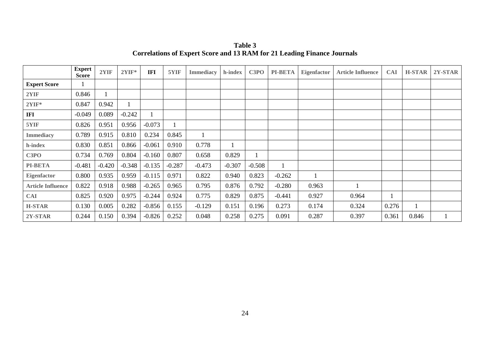**Table 3 Correlations of Expert Score and 13 RAM for 21 Leading Finance Journals**

|                          | <b>Expert</b><br><b>Score</b> | 2YIF     | $2YIF*$  | <b>IFI</b> | 5YIF     | <b>Immediacy</b> | h-index  | C3PO     | <b>PI-BETA</b> | Eigenfactor | <b>Article Influence</b> | <b>CAI</b> | <b>H-STAR</b> | 2Y-STAR |
|--------------------------|-------------------------------|----------|----------|------------|----------|------------------|----------|----------|----------------|-------------|--------------------------|------------|---------------|---------|
| <b>Expert Score</b>      |                               |          |          |            |          |                  |          |          |                |             |                          |            |               |         |
| 2YIF                     | 0.846                         |          |          |            |          |                  |          |          |                |             |                          |            |               |         |
| $2YIF^*$                 | 0.847                         | 0.942    |          |            |          |                  |          |          |                |             |                          |            |               |         |
| IFI                      | $-0.049$                      | 0.089    | $-0.242$ |            |          |                  |          |          |                |             |                          |            |               |         |
| 5YIF                     | 0.826                         | 0.951    | 0.956    | $-0.073$   |          |                  |          |          |                |             |                          |            |               |         |
| <b>Immediacy</b>         | 0.789                         | 0.915    | 0.810    | 0.234      | 0.845    |                  |          |          |                |             |                          |            |               |         |
| h-index                  | 0.830                         | 0.851    | 0.866    | $-0.061$   | 0.910    | 0.778            |          |          |                |             |                          |            |               |         |
| C3PO                     | 0.734                         | 0.769    | 0.804    | $-0.160$   | 0.807    | 0.658            | 0.829    |          |                |             |                          |            |               |         |
| PI-BETA                  | $-0.481$                      | $-0.420$ | $-0.348$ | $-0.135$   | $-0.287$ | $-0.473$         | $-0.307$ | $-0.508$ | 1              |             |                          |            |               |         |
| <b>Eigenfactor</b>       | 0.800                         | 0.935    | 0.959    | $-0.115$   | 0.971    | 0.822            | 0.940    | 0.823    | $-0.262$       |             |                          |            |               |         |
| <b>Article Influence</b> | 0.822                         | 0.918    | 0.988    | $-0.265$   | 0.965    | 0.795            | 0.876    | 0.792    | $-0.280$       | 0.963       |                          |            |               |         |
| <b>CAI</b>               | 0.825                         | 0.920    | 0.975    | $-0.244$   | 0.924    | 0.775            | 0.829    | 0.875    | $-0.441$       | 0.927       | 0.964                    |            |               |         |
| <b>H-STAR</b>            | 0.130                         | 0.005    | 0.282    | $-0.856$   | 0.155    | $-0.129$         | 0.151    | 0.196    | 0.273          | 0.174       | 0.324                    | 0.276      |               |         |
| 2Y-STAR                  | 0.244                         | 0.150    | 0.394    | $-0.826$   | 0.252    | 0.048            | 0.258    | 0.275    | 0.091          | 0.287       | 0.397                    | 0.361      | 0.846         |         |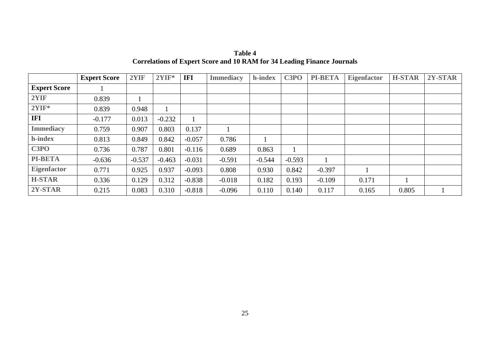| Table 4                                                                        |
|--------------------------------------------------------------------------------|
| <b>Correlations of Expert Score and 10 RAM for 34 Leading Finance Journals</b> |

|                     | <b>Expert Score</b> | 2YIF     | $2YIF*$  | IFI      | <b>Immediacy</b> | h-index  | C <sub>3</sub> P <sub>O</sub> | <b>PI-BETA</b> | <b>Eigenfactor</b> | <b>H-STAR</b> | 2Y-STAR |
|---------------------|---------------------|----------|----------|----------|------------------|----------|-------------------------------|----------------|--------------------|---------------|---------|
| <b>Expert Score</b> |                     |          |          |          |                  |          |                               |                |                    |               |         |
| 2YIF                | 0.839               |          |          |          |                  |          |                               |                |                    |               |         |
| $2YIF*$             | 0.839               | 0.948    |          |          |                  |          |                               |                |                    |               |         |
| IFI                 | $-0.177$            | 0.013    | $-0.232$ |          |                  |          |                               |                |                    |               |         |
| <b>Immediacy</b>    | 0.759               | 0.907    | 0.803    | 0.137    |                  |          |                               |                |                    |               |         |
| h-index             | 0.813               | 0.849    | 0.842    | $-0.057$ | 0.786            |          |                               |                |                    |               |         |
| <b>C3PO</b>         | 0.736               | 0.787    | 0.801    | $-0.116$ | 0.689            | 0.863    |                               |                |                    |               |         |
| <b>PI-BETA</b>      | $-0.636$            | $-0.537$ | $-0.463$ | $-0.031$ | $-0.591$         | $-0.544$ | $-0.593$                      |                |                    |               |         |
| <b>Eigenfactor</b>  | 0.771               | 0.925    | 0.937    | $-0.093$ | 0.808            | 0.930    | 0.842                         | $-0.397$       |                    |               |         |
| <b>H-STAR</b>       | 0.336               | 0.129    | 0.312    | $-0.838$ | $-0.018$         | 0.182    | 0.193                         | $-0.109$       | 0.171              |               |         |
| 2Y-STAR             | 0.215               | 0.083    | 0.310    | $-0.818$ | $-0.096$         | 0.110    | 0.140                         | 0.117          | 0.165              | 0.805         |         |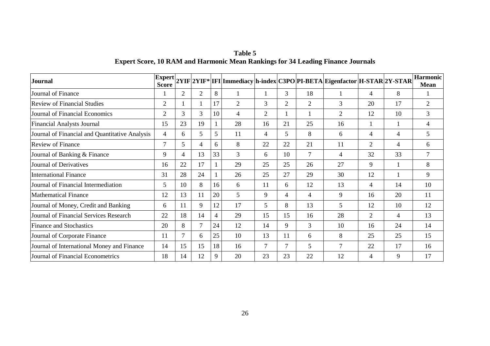| Table 5                                                                                |
|----------------------------------------------------------------------------------------|
| <b>Expert Score, 10 RAM and Harmonic Mean Rankings for 34 Leading Finance Journals</b> |

| <b>Journal</b>                                 | Expert<br><b>Score</b> |                |    |                |                |                |                |                | 2YIF 2YIF* IFI Immediacy h-index C3PO PI-BETA Eigenfactor H-STAR 2Y-STAR |                |    | Harmonic<br><b>Mean</b> |
|------------------------------------------------|------------------------|----------------|----|----------------|----------------|----------------|----------------|----------------|--------------------------------------------------------------------------|----------------|----|-------------------------|
| Journal of Finance                             |                        | $\overline{2}$ | 2  | 8              |                |                | 3              | 18             |                                                                          | $\overline{4}$ | 8  |                         |
| <b>Review of Financial Studies</b>             | $\overline{2}$         |                |    | 17             | $\overline{2}$ | 3              | $\overline{2}$ | $\overline{2}$ | 3                                                                        | 20             | 17 | $\overline{2}$          |
| Journal of Financial Economics                 | $\overline{2}$         | 3              | 3  | 10             | $\overline{4}$ | 2              | 1              |                | 2                                                                        | 12             | 10 | 3                       |
| <b>Financial Analysts Journal</b>              | 15                     | 23             | 19 |                | 28             | 16             | 21             | 25             | 16                                                                       | 1              |    | 4                       |
| Journal of Financial and Quantitative Analysis | $\overline{4}$         | 6              | 5  | 5              | 11             | $\overline{4}$ | 5              | 8              | 6                                                                        | 4              | 4  | 5                       |
| <b>Review of Finance</b>                       | $\overline{7}$         | 5              | 4  | 6              | 8              | 22             | 22             | 21             | 11                                                                       | $\overline{2}$ | 4  | 6                       |
| Journal of Banking & Finance                   | 9                      | $\overline{4}$ | 13 | 33             | 3              | 6              | 10             | $\tau$         | 4                                                                        | 32             | 33 | 7                       |
| Journal of Derivatives                         | 16                     | 22             | 17 |                | 29             | 25             | 25             | 26             | 27                                                                       | 9              |    | 8                       |
| <b>International Finance</b>                   | 31                     | 28             | 24 |                | 26             | 25             | 27             | 29             | 30                                                                       | 12             |    | 9                       |
| Journal of Financial Intermediation            | 5                      | 10             | 8  | 16             | 6              | 11             | 6              | 12             | 13                                                                       | 4              | 14 | 10                      |
| <b>Mathematical Finance</b>                    | 12                     | 13             | 11 | 20             | 5              | 9              | 4              | 4              | 9                                                                        | 16             | 20 | 11                      |
| Journal of Money, Credit and Banking           | 6                      | 11             | 9  | 12             | 17             | 5              | 8              | 13             | 5                                                                        | 12             | 10 | 12                      |
| Journal of Financial Services Research         | 22                     | 18             | 14 | $\overline{4}$ | 29             | 15             | 15             | 16             | 28                                                                       | $\overline{2}$ | 4  | 13                      |
| <b>Finance and Stochastics</b>                 | 20                     | 8              |    | 24             | 12             | 14             | 9              | 3              | 10                                                                       | 16             | 24 | 14                      |
| Journal of Corporate Finance                   | 11                     | 7              | 6  | 25             | 10             | 13             | 11             | 6              | 8                                                                        | 25             | 25 | 15                      |
| Journal of International Money and Finance     | 14                     | 15             | 15 | 18             | 16             | $\tau$         | 7              | 5              | 7                                                                        | 22             | 17 | 16                      |
| Journal of Financial Econometrics              | 18                     | 14             | 12 | 9              | 20             | 23             | 23             | 22             | 12                                                                       | 4              | 9  | 17                      |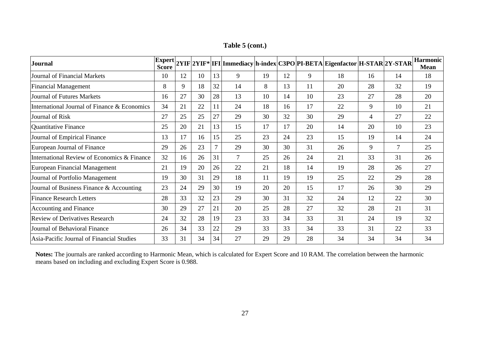**Table 5 (cont.)**

| <b>Journal</b>                               | <b>Expert</b><br><b>Score</b> |    |    |                |                |    |    |    | 2YIF 2YIF* IFI Immediacy h-index C3PO PI-BETA Eigenfactor H-STAR 2Y-STAR |    |                | <b>Harmonic</b><br><b>Mean</b> |
|----------------------------------------------|-------------------------------|----|----|----------------|----------------|----|----|----|--------------------------------------------------------------------------|----|----------------|--------------------------------|
| Journal of Financial Markets                 | 10                            | 12 | 10 | 13             | 9              | 19 | 12 | 9  | 18                                                                       | 16 | 14             | 18                             |
| <b>Financial Management</b>                  | 8                             | 9  | 18 | 32             | 14             | 8  | 13 | 11 | 20                                                                       | 28 | 32             | 19                             |
| <b>Journal of Futures Markets</b>            | 16                            | 27 | 30 | 28             | 13             | 10 | 14 | 10 | 23                                                                       | 27 | 28             | 20                             |
| International Journal of Finance & Economics | 34                            | 21 | 22 | 11             | 24             | 18 | 16 | 17 | 22                                                                       | 9  | 10             | 21                             |
| <b>Journal of Risk</b>                       | 27                            | 25 | 25 | 27             | 29             | 30 | 32 | 30 | 29                                                                       | 4  | 27             | 22                             |
| <b>Quantitative Finance</b>                  | 25                            | 20 | 21 | 13             | 15             | 17 | 17 | 20 | 14                                                                       | 20 | 10             | 23                             |
| Journal of Empirical Finance                 | 13                            | 17 | 16 | 15             | 25             | 23 | 24 | 23 | 15                                                                       | 19 | 14             | 24                             |
| European Journal of Finance                  | 29                            | 26 | 23 | $\overline{7}$ | 29             | 30 | 30 | 31 | 26                                                                       | 9  | $\overline{7}$ | 25                             |
| International Review of Economics & Finance  | 32                            | 16 | 26 | 31             | $\overline{7}$ | 25 | 26 | 24 | 21                                                                       | 33 | 31             | 26                             |
| European Financial Management                | 21                            | 19 | 20 | 26             | 22             | 21 | 18 | 14 | 19                                                                       | 28 | 26             | 27                             |
| Journal of Portfolio Management              | 19                            | 30 | 31 | 29             | 18             | 11 | 19 | 19 | 25                                                                       | 22 | 29             | 28                             |
| Journal of Business Finance & Accounting     | 23                            | 24 | 29 | 30             | 19             | 20 | 20 | 15 | 17                                                                       | 26 | 30             | 29                             |
| Finance Research Letters                     | 28                            | 33 | 32 | 23             | 29             | 30 | 31 | 32 | 24                                                                       | 12 | 22             | 30                             |
| <b>Accounting and Finance</b>                | 30                            | 29 | 27 | 21             | 20             | 25 | 28 | 27 | 32                                                                       | 28 | 21             | 31                             |
| <b>Review of Derivatives Research</b>        | 24                            | 32 | 28 | 19             | 23             | 33 | 34 | 33 | 31                                                                       | 24 | 19             | 32                             |
| Journal of Behavioral Finance                | 26                            | 34 | 33 | 22             | 29             | 33 | 33 | 34 | 33                                                                       | 31 | 22             | 33                             |
| Asia-Pacific Journal of Financial Studies    | 33                            | 31 | 34 | 34             | 27             | 29 | 29 | 28 | 34                                                                       | 34 | 34             | 34                             |

**Notes:** The journals are ranked according to Harmonic Mean, which is calculated for Expert Score and 10 RAM. The correlation between the harmonic means based on including and excluding Expert Score is 0.988.